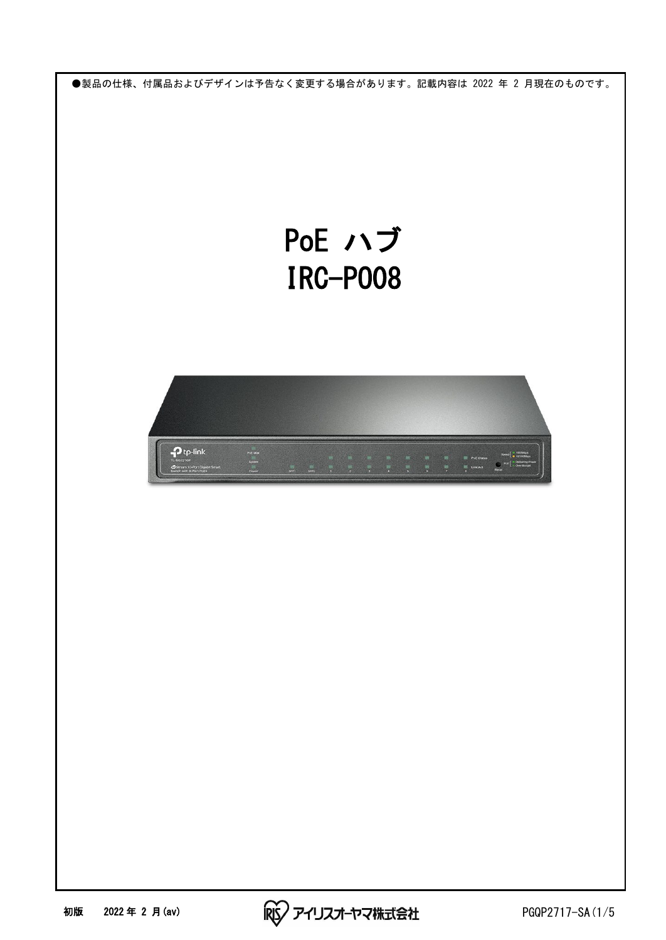●製品の仕様、付属品およびデザインは予告なく変更する場合があります。記載内容は 2022 年 2 月現在のものです。

## PoE ハブ IRC-PO08



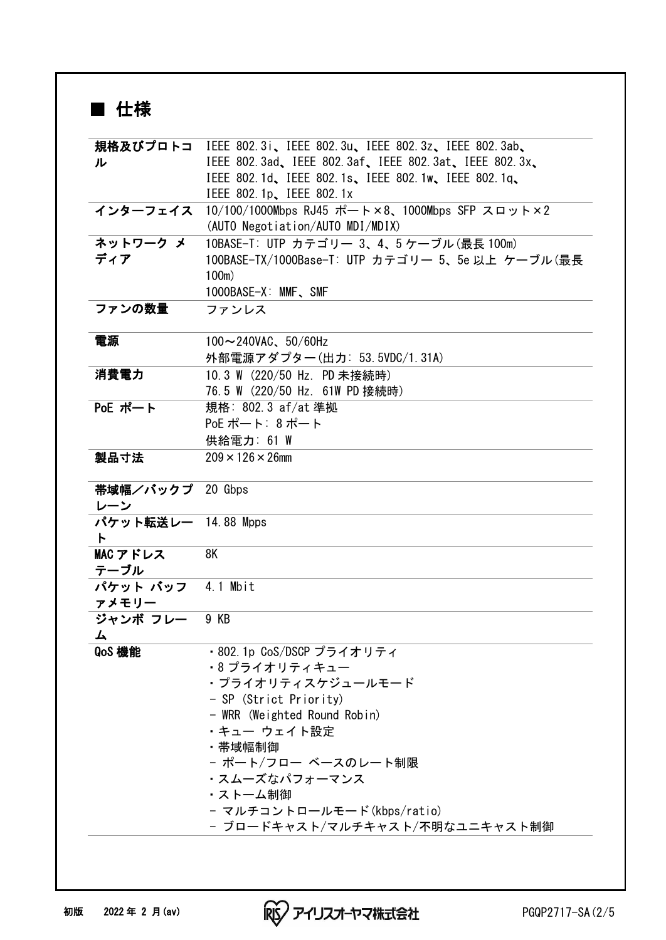## ■ 仕様

|                     | 規格及びプロトコ IEEE 802.3i、IEEE 802.3u、IEEE 802.3z、IEEE 802.3ab、 |
|---------------------|------------------------------------------------------------|
| ル                   | IEEE 802.3ad, IEEE 802.3af, IEEE 802.3at, IEEE 802.3x,     |
|                     | IEEE 802.1d, IEEE 802.1s, IEEE 802.1w, IEEE 802.1g,        |
|                     | IEEE 802.1p, IEEE 802.1x                                   |
| インターフェイス            | 10/100/1000Mbps RJ45 ポート×8、1000Mbps SFP スロット×2             |
|                     | (AUTO Negotiation/AUTO MDI/MDIX)                           |
| ネットワークメ             | 10BASE-T: UTP カテゴリー 3、4、5 ケーブル(最長 100m)                    |
| ディア                 | 100BASE-TX/1000Base-T: UTP カテゴリー 5、5e 以上 ケーブル(最長           |
|                     | $100m$ )                                                   |
|                     | 1000BASE-X: MMF, SMF                                       |
| ファンの数量              | ファンレス                                                      |
| 電源                  | $100 \sim 240$ VAC、50/60Hz                                 |
|                     | 外部電源アダプター(出力: 53.5VDC/1.31A)                               |
| 消費電力                | 10.3 W (220/50 Hz. PD 未接続時)                                |
|                     | 76.5 W (220/50 Hz. 61W PD 接続時)                             |
| PoE ポート             | 規格: 802.3 af/at 準拠                                         |
|                     | PoE ポート: 8ポート                                              |
|                     | 供給電力: 61 W                                                 |
| 製品寸法                | $209 \times 126 \times 26$ mm                              |
|                     |                                                            |
| 帯域幅/バックプ 20 Gbps    |                                                            |
| レーン                 |                                                            |
| パケット転送レー 14.88 Mpps |                                                            |
| ŀ                   |                                                            |
| MAC アドレス            | 8K                                                         |
| テーブル                |                                                            |
| パケット バッフ            | 4.1 Mbit                                                   |
| ァメモリー               |                                                            |
| ジャンボ フレー            | 9 KB                                                       |
| 厶                   |                                                            |
| QoS 機能              | ・802.1p CoS/DSCP プライオリティ                                   |
|                     | ・8 プライオリティキュー                                              |
|                     | ・プライオリティスケジュールモード                                          |
|                     | - SP (Strict Priority)                                     |
|                     | - WRR (Weighted Round Robin)                               |
|                     | ・キュー ウェイト設定                                                |
|                     | ・帯域幅制御                                                     |
|                     | - ポート/フロー ベースのレート制限                                        |
|                     | ・スムーズなパフォーマンス                                              |
|                     | ・ストーム制御                                                    |
|                     | - マルチコントロールモード(kbps/ratio)                                 |
|                     | - ブロードキャスト/マルチキャスト/不明なユニキャスト制御                             |
|                     |                                                            |

初版 2022 年 2 月(av) PGQP2717-SA (2/5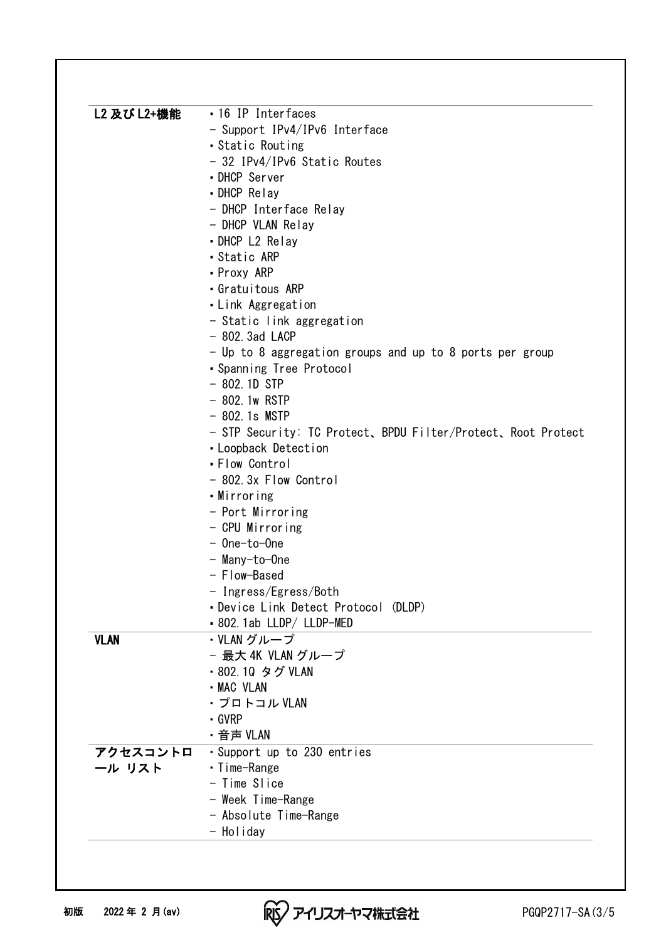| L2 及び L2+機能 | • 16 IP Interfaces                                            |
|-------------|---------------------------------------------------------------|
|             | - Support IPv4/IPv6 Interface                                 |
|             | • Static Routing                                              |
|             | - 32 IPv4/IPv6 Static Routes                                  |
|             | • DHCP Server                                                 |
|             | • DHCP Relay                                                  |
|             | - DHCP Interface Relay                                        |
|             | - DHCP VLAN Relay                                             |
|             | • DHCP L2 Relay                                               |
|             | · Static ARP                                                  |
|             | • Proxy ARP                                                   |
|             | • Gratuitous ARP                                              |
|             | • Link Aggregation                                            |
|             | - Static link aggregation                                     |
|             | $-802.3ad$ LACP                                               |
|             | - Up to 8 aggregation groups and up to 8 ports per group      |
|             | • Spanning Tree Protocol                                      |
|             | $-802.1D$ STP                                                 |
|             | $-802.1w$ RSTP                                                |
|             | $-802.1s$ MSTP                                                |
|             | - STP Security: TC Protect, BPDU Filter/Protect, Root Protect |
|             | • Loopback Detection                                          |
|             | • Flow Control                                                |
|             | - 802.3x Flow Control                                         |
|             | •Mirroring                                                    |
|             | - Port Mirroring                                              |
|             | - CPU Mirroring                                               |
|             | - One-to-One                                                  |
|             | - Many-to-One                                                 |
|             | - Flow-Based                                                  |
|             | - Ingress/Egress/Both                                         |
|             | • Device Link Detect Protocol (DLDP)                          |
|             | • 802. 1ab LLDP/ LLDP-MED                                     |
| <b>VLAN</b> | ・VLAN グループ                                                    |
|             | - 最大 4K VLAN グループ                                             |
|             | ・802.10 タグ VLAN                                               |
|             | - MAC VLAN                                                    |
|             | ・プロトコル VLAN                                                   |
|             | $\cdot$ GVRP                                                  |
|             | ・音声 VLAN                                                      |
| アクセスコントロ    | · Support up to 230 entries                                   |
| 一ル リスト      | • Time-Range                                                  |
|             | - Time Slice                                                  |
|             | - Week Time-Range                                             |
|             | - Absolute Time-Range                                         |
|             |                                                               |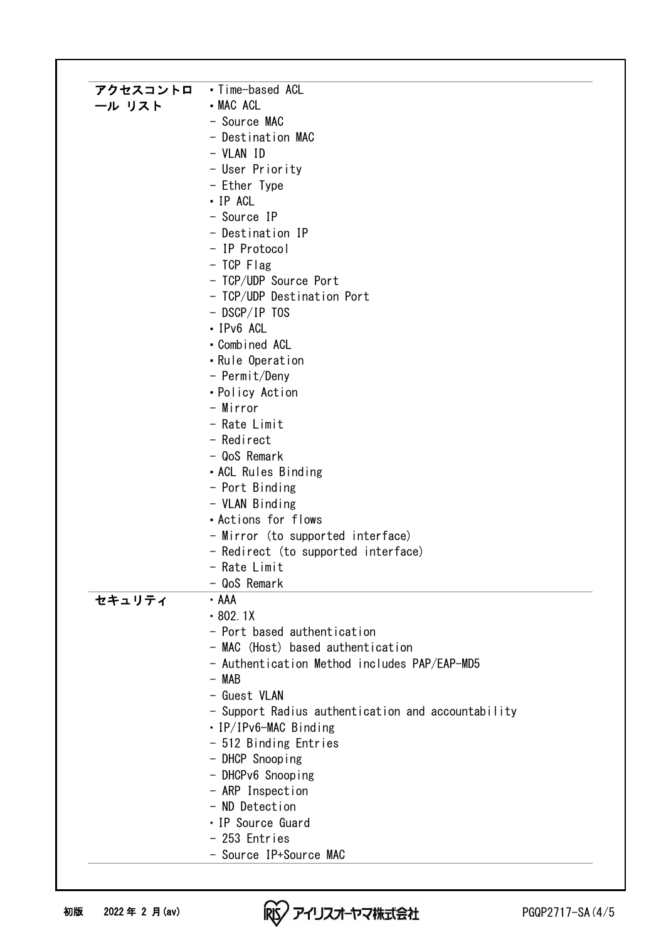| アクセスコントロ | •Time-based ACL                                    |
|----------|----------------------------------------------------|
| ール リスト   | - MAC ACL                                          |
|          | - Source MAC                                       |
|          | - Destination MAC                                  |
|          | - VLAN ID                                          |
|          | - User Priority                                    |
|          | - Ether Type                                       |
|          | - IP ACL                                           |
|          | - Source IP                                        |
|          | - Destination IP                                   |
|          | - IP Protocol                                      |
|          | $-$ TCP Flag                                       |
|          | - TCP/UDP Source Port                              |
|          | - TCP/UDP Destination Port                         |
|          | $-$ DSCP/IP TOS                                    |
|          | - IPv6 ACL                                         |
|          | • Combined ACL                                     |
|          | • Rule Operation                                   |
|          | - Permit/Deny                                      |
|          | • Policy Action                                    |
|          | - Mirror                                           |
|          | - Rate Limit                                       |
|          | - Redirect                                         |
|          | - QoS Remark                                       |
|          | • ACL Rules Binding                                |
|          | - Port Binding                                     |
|          | - VLAN Binding                                     |
|          | . Actions for flows                                |
|          | - Mirror (to supported interface)                  |
|          | - Redirect (to supported interface)                |
|          | - Rate Limit                                       |
|          | - QoS Remark                                       |
| セキュリティ   | - AAA                                              |
|          | $-802.1X$                                          |
|          | - Port based authentication                        |
|          | - MAC (Host) based authentication                  |
|          | - Authentication Method includes PAP/EAP-MD5       |
|          | $-$ MAB                                            |
|          | - Guest VLAN                                       |
|          | - Support Radius authentication and accountability |
|          | • IP/IPv6-MAC Binding                              |
|          | - 512 Binding Entries                              |
|          | - DHCP Snooping                                    |
|          | - DHCPv6 Snooping                                  |
|          | - ARP Inspection                                   |
|          | - ND Detection                                     |
|          | • IP Source Guard                                  |
|          | - 253 Entries                                      |
|          | - Source IP+Source MAC                             |